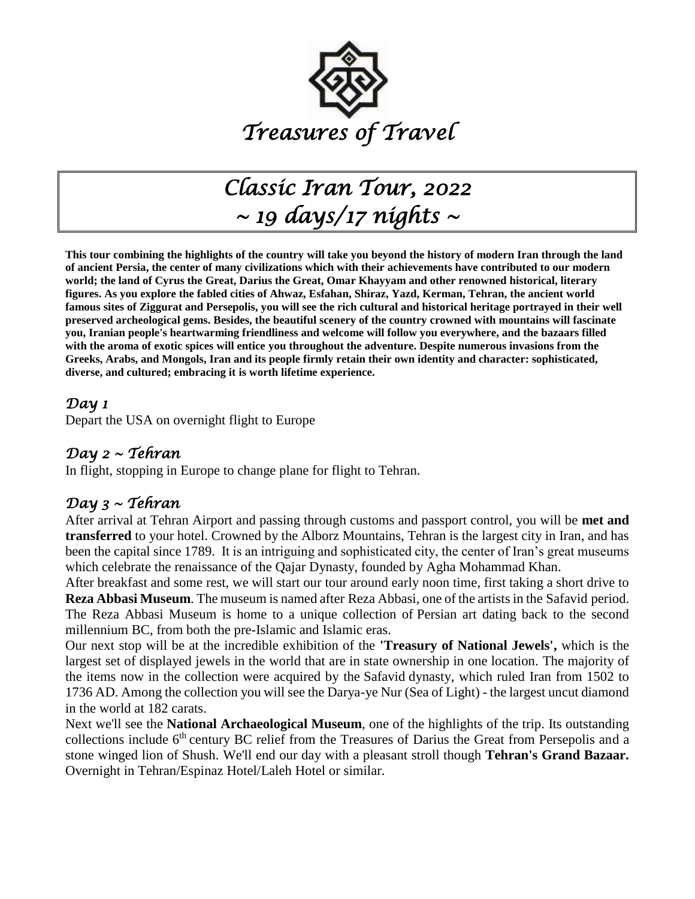

# *Classic Iran Tour, 2022 ~ 19 days/17 nights ~*

**This tour combining the highlights of the country will take you beyond the history of modern Iran through the land of ancient Persia, the center of many civilizations which with their achievements have contributed to our modern world; the land of Cyrus the Great, Darius the Great, Omar Khayyam and other renowned historical, literary figures. As you explore the fabled cities of Ahwaz, Esfahan, Shiraz, Yazd, Kerman, Tehran, the ancient world famous sites of Ziggurat and Persepolis, you will see the rich cultural and historical heritage portrayed in their well preserved archeological gems. Besides, the beautiful scenery of the country crowned with mountains will fascinate you, Iranian people's heartwarming friendliness and welcome will follow you everywhere, and the bazaars filled with the aroma of exotic spices will entice you throughout the adventure. Despite numerous invasions from the Greeks, Arabs, and Mongols, Iran and its people firmly retain their own identity and character: sophisticated, diverse, and cultured; embracing it is worth lifetime experience.** 

#### *Day 1*

Depart the USA on overnight flight to Europe

## *Day 2 ~ Tehran*

In flight, stopping in Europe to change plane for flight to Tehran.

## *Day 3 ~ Tehran*

After arrival at Tehran Airport and passing through customs and passport control, you will be **met and transferred** to your hotel. Crowned by the Alborz Mountains, Tehran is the largest city in Iran, and has been the capital since 1789. It is an intriguing and sophisticated city, the center of Iran's great museums which celebrate the renaissance of the Qajar Dynasty, founded by Agha Mohammad Khan.

After breakfast and some rest, we will start our tour around early noon time, first taking a short drive to **Reza Abbasi Museum**. The museum is named after [Reza Abbasi,](https://en.wikipedia.org/wiki/Reza_Abbasi) one of the artists in the [Safavid](https://en.wikipedia.org/wiki/Safavid) period. The Reza Abbasi Museum is home to a unique collection of [Persian art](https://en.wikipedia.org/wiki/Persian_art) dating back to the second millennium BC, from both the pre-Islamic and Islamic eras.

Our next stop will be at the incredible exhibition of the **'Treasury of National Jewels',** which is the largest set of displayed jewels in the world that are in state ownership in one location. The majority of the items now in the collection were acquired by the [Safavid](https://en.wikipedia.org/wiki/Safavid) dynasty, which ruled Iran from 1502 to 1736 AD. Among the collection you will see the Darya-ye Nur (Sea of Light) - the largest uncut diamond in the world at 182 carats.

Next we'll see the **National Archaeological Museum**, one of the highlights of the trip. Its outstanding collections include  $6<sup>th</sup>$  century BC relief from the Treasures of Darius the Great from Persepolis and a stone winged lion of Shush. We'll end our day with a pleasant stroll though **Tehran's Grand Bazaar.** Overnight in Tehran/Espinaz Hotel/Laleh Hotel or similar.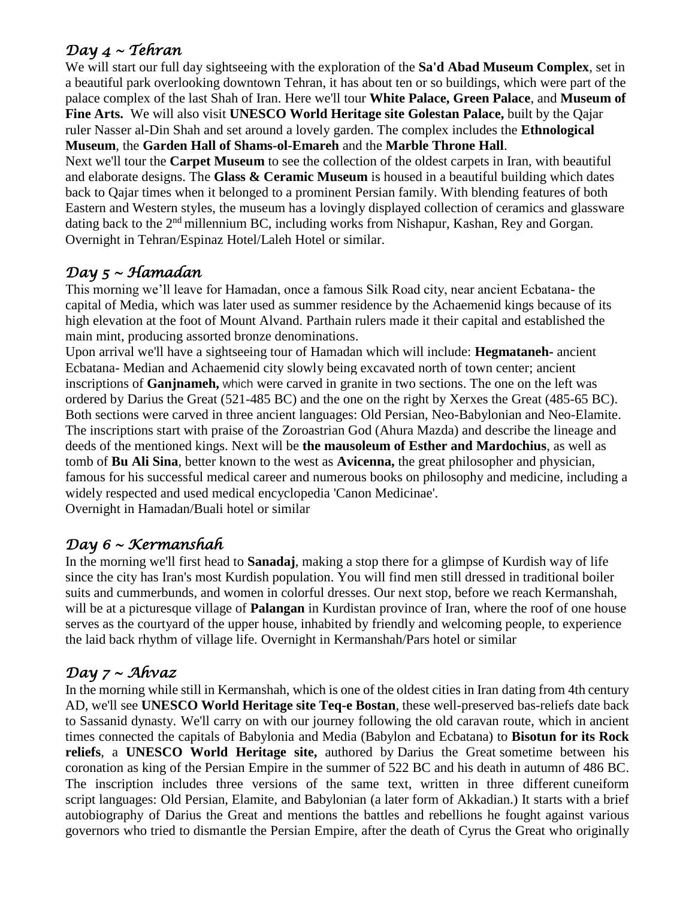# *Day 4 ~ Tehran*

We will start our full day sightseeing with the exploration of the **Sa'd Abad Museum Complex**, set in a beautiful park overlooking downtown Tehran, it has about ten or so buildings, which were part of the palace complex of the last Shah of Iran. Here we'll tour **White Palace, Green Palace**, and **Museum of Fine Arts.** We will also visit **UNESCO World Heritage site [Golestan Palace,](http://www.golestanpalace.ir/)** built by the Qajar ruler Nasser al-Din Shah and set around a lovely garden. The complex includes the **[Ethnological](http://www.nationalmuseumofiran.com/)  [Museum](http://www.nationalmuseumofiran.com/)**, the **[Garden Hall](http://www.golestanpalace.ir/En_Site/E-virtual/E-baq-v.htm) of [Shams-ol-Emareh](http://www.golestanpalace.ir/En_Site/collections/E-shams.htm)** and the **[Marble Throne Hall](http://www.golestanpalace.ir/En_Site/collections/E-eyvan.htm)**.

Next we'll tour the **[Carpet Museum](http://www.carpetmuseum.ir/)** to see the collection of the oldest carpets in Iran, with beautiful and elaborate designs. The **[Glass & Ceramic Museum](http://www.glasswaremuseum.ir/)** is housed in a beautiful building which dates back to Qajar times when it belonged to a prominent Persian family. With blending features of both Eastern and Western styles, the museum has a lovingly displayed collection of ceramics and glassware dating back to the 2<sup>nd</sup> millennium BC, including works from Nishapur, Kashan, Rey and Gorgan. Overnight in Tehran/Espinaz Hotel/Laleh Hotel or similar.

# *Day 5 ~ Hamadan*

This morning we'll leave for Hamadan, once a famous Silk Road city, near ancient Ecbatana- the capital of Media, which was later used as summer residence by the Achaemenid kings because of its high elevation at the foot of Mount Alvand. Parthain rulers made it their capital and established the main mint, producing assorted [bronze](http://en.wikipedia.org/wiki/Bronze) denominations.

Upon arrival we'll have a sightseeing tour of Hamadan which will include: **Hegmataneh-** ancient Ecbatana- Median and Achaemenid city slowly being excavated north of town center; ancient inscriptions of **Ganjnameh,** which were carved in [granite](https://en.wikipedia.org/wiki/Granite) in two sections. The one on the left was ordered by [Darius the Great](https://en.wikipedia.org/wiki/Darius_the_Great) (521-485 BC) and the one on the right by [Xerxes the Great](https://en.wikipedia.org/wiki/Xerxes_the_Great) (485-65 BC). Both sections were carved in three ancient languages: [Old Persian,](https://en.wikipedia.org/wiki/Old_Persian) Neo[-Babylonian](https://en.wikipedia.org/wiki/Neo-Babylonian_Empire) and Neo[-Elamite.](https://en.wikipedia.org/wiki/Elamite) The inscriptions start with praise of the [Zoroastrian](https://en.wikipedia.org/wiki/Zoroastrian) God [\(Ahura Mazda\)](https://en.wikipedia.org/wiki/Ahura_Mazda) and describe the lineage and deeds of the mentioned kings. Next will be **the mausoleum of Esther and Mardochius**, as well as tomb of **Bu Ali Sina**, better known to the west as **Avicenna,** the great philosopher and physician, famous for his successful medical career and numerous books on philosophy and medicine, including a widely respected and used medical encyclopedia 'Canon Medicinae'. Overnight in Hamadan/Buali hotel or similar

# *Day 6 ~ Kermanshah*

In the morning we'll first head to **Sanadaj**, making a stop there for a glimpse of Kurdish way of life since the city has Iran's most Kurdish population. You will find men still dressed in traditional boiler suits and cummerbunds, and women in colorful dresses. Our next stop, before we reach Kermanshah, will be at a picturesque village of **Palangan** in Kurdistan province of Iran, where the roof of one house serves as the courtyard of the upper house, inhabited by friendly and welcoming people, to experience the laid back rhythm of village life. Overnight in Kermanshah/Pars hotel or similar

# *Day 7 ~ Ahvaz*

In the morning while still in Kermanshah, which is one of the oldest cities in Iran dating from 4th century AD, we'll see **UNESCO World Heritage site Teq-e Bostan**, these well-preserved bas-reliefs date back to Sassanid dynasty. We'll carry on with our journey following the old caravan route, which in ancient times connected the capitals of [Babylonia](http://en.wikipedia.org/wiki/Babylonia) and [Media](http://en.wikipedia.org/wiki/Medes) [\(Babylon](http://en.wikipedia.org/wiki/Babylon) and [Ecbatana\)](http://en.wikipedia.org/wiki/Ecbatana) to **Bisotun for its Rock reliefs**, a **UNESCO World Heritage site,** authored by [Darius the Great](https://en.wikipedia.org/wiki/Darius_the_Great) sometime between his coronation as king of the [Persian Empire](https://en.wikipedia.org/wiki/Achaemenid_Empire) in the summer of 522 BC and his death in autumn of 486 BC. The inscription includes three versions of the same text, written in three different [cuneiform](https://en.wikipedia.org/wiki/Cuneiform_script)  [script](https://en.wikipedia.org/wiki/Cuneiform_script) languages: Old Persian, [Elamite,](https://en.wikipedia.org/wiki/Elamite_language) and [Babylonian](https://en.wikipedia.org/wiki/Babylonian_language) (a later form of [Akkadian.](https://en.wikipedia.org/wiki/Akkadian_language)) It starts with a brief autobiography of Darius the Great and mentions the battles and rebellions he fought against various governors who tried to dismantle the Persian Empire, after the death of Cyrus the Great who originally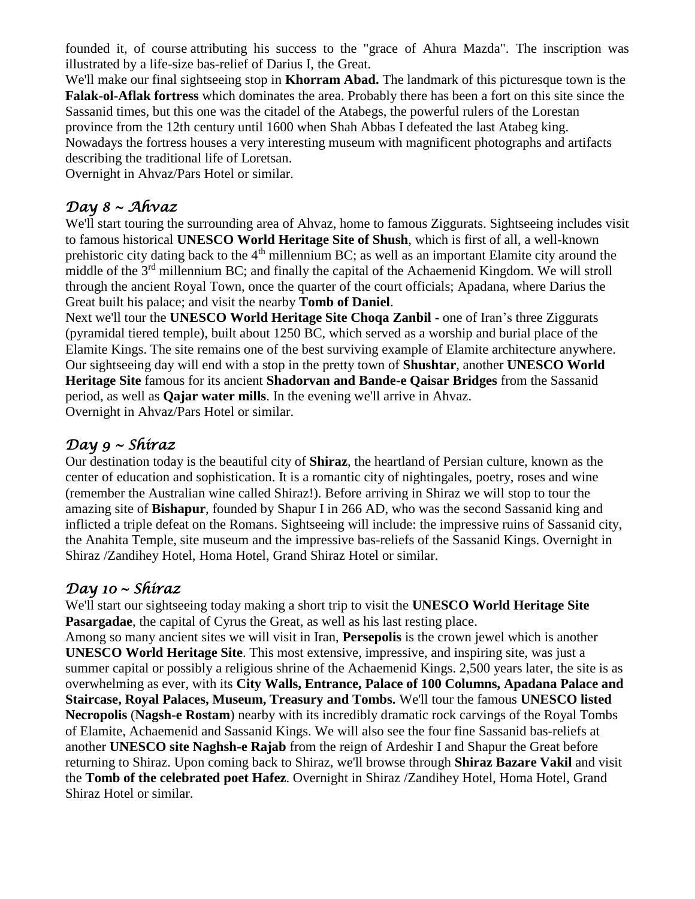founded it, of course attributing his success to the "grace of [Ahura Mazda"](https://en.wikipedia.org/wiki/Ahuramazda). The inscription was illustrated by a life-size bas-relief of [Darius I, the Great.](http://en.wikipedia.org/wiki/Darius_the_Great)

We'll make our final sightseeing stop in **Khorram Abad.** The landmark of this picturesque town is the **Falak-ol-Aflak fortress** which dominates the area. Probably there has been a fort on this site since the Sassanid times, but this one was the citadel of the Atabegs, the powerful rulers of the Lorestan province from the 12th century until 1600 when Shah Abbas I defeated the last Atabeg king. Nowadays the fortress houses a very interesting museum with magnificent photographs and artifacts describing the traditional life of Loretsan.

Overnight in Ahvaz/Pars Hotel or similar.

## *Day 8 ~ Ahvaz*

We'll start touring the surrounding area of Ahvaz, home to famous Ziggurats. Sightseeing includes visit to famous historical **UNESCO World Heritage Site of Shush**, which is first of all, a well-known prehistoric city dating back to the  $4<sup>th</sup>$  millennium BC; as well as an important Elamite city around the middle of the 3rd millennium BC; and finally the capital of the Achaemenid Kingdom. We will stroll through the ancient Royal Town, once the quarter of the court officials; Apadana, where Darius the Great built his palace; and visit the nearby **Tomb of Daniel**.

Next we'll tour the **UNESCO World Heritage Site Choqa Zanbil -** one of Iran's three Ziggurats (pyramidal tiered temple), built about 1250 BC, which served as a worship and burial place of the Elamite Kings. The site remains one of the best surviving example of Elamite architecture anywhere. Our sightseeing day will end with a stop in the pretty town of **Shushtar**, another **UNESCO World Heritage Site** famous for its ancient **Shadorvan and Bande-e Qaisar Bridges** from the Sassanid period, as well as **Qajar water mills**. In the evening we'll arrive in Ahvaz. Overnight in Ahvaz/Pars Hotel or similar.

# *Day 9 ~ Shiraz*

Our destination today is the beautiful city of **Shiraz**, the heartland of Persian culture, known as the center of education and sophistication. It is a romantic city of nightingales, poetry, roses and wine (remember the Australian wine called Shiraz!). Before arriving in Shiraz we will stop to tour the amazing site of **Bishapur**, founded by [Shapur I](https://en.wikipedia.org/wiki/Shapur_I) in 266 AD, who was the second Sassanid king and inflicted a triple defeat on the Romans. Sightseeing will include: the impressive ruins of Sassanid city, the Anahita Temple, site museum and the impressive bas-reliefs of the Sassanid Kings. Overnight in Shiraz /Zandihey Hotel, Homa Hotel, Grand Shiraz Hotel or similar.

#### *Day 10 ~ Shiraz*

We'll start our sightseeing today making a short trip to visit the **UNESCO World Heritage Site Pasargadae**, the capital of Cyrus the Great, as well as his last resting place.

Among so many ancient sites we will visit in Iran, **Persepolis** is the crown jewel which is another **UNESCO World Heritage Site**. This most extensive, impressive, and inspiring site, was just a summer capital or possibly a religious shrine of the Achaemenid Kings. 2,500 years later, the site is as overwhelming as ever, with its **City Walls, Entrance, Palace of 100 Columns, Apadana Palace and Staircase, Royal Palaces, Museum, Treasury and Tombs.** We'll tour the famous **UNESCO listed Necropolis** (**Nagsh-e Rostam**) nearby with its incredibly dramatic rock carvings of the Royal Tombs of Elamite, Achaemenid and Sassanid Kings. We will also see the four fine Sassanid bas-reliefs at another **UNESCO site Naghsh-e Rajab** from the reign of Ardeshir I and Shapur the Great before returning to Shiraz. Upon coming back to Shiraz, we'll browse through **Shiraz Bazare Vakil** and visit the **Tomb of the celebrated poet Hafez**. Overnight in Shiraz /Zandihey Hotel, Homa Hotel, Grand Shiraz Hotel or similar.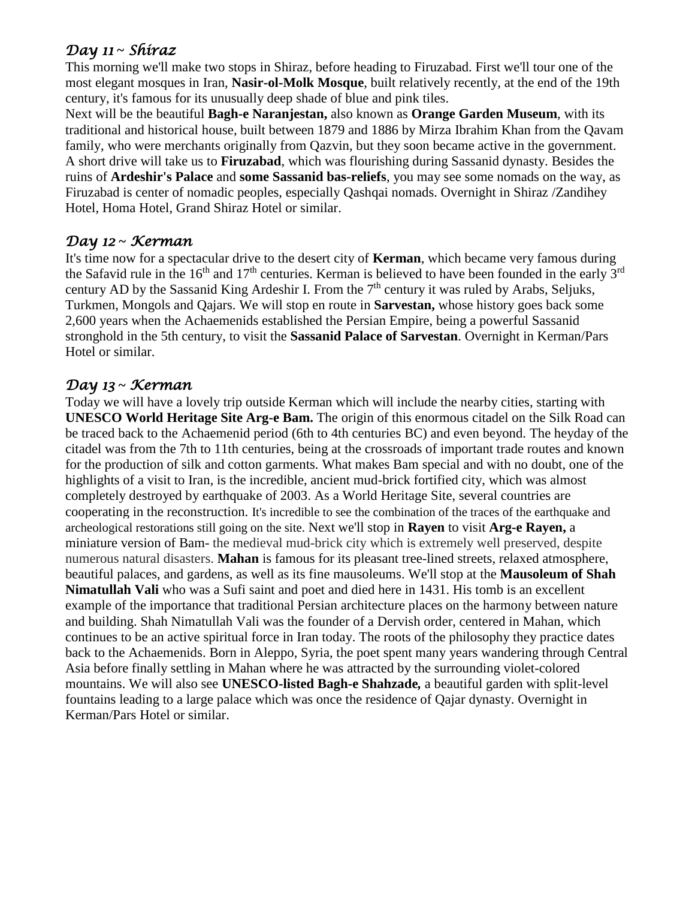## *Day 11* **~** *Shiraz*

This morning we'll make two stops in Shiraz, before heading to Firuzabad. First we'll tour one of the most elegant mosques in Iran, **Nasir-ol-Molk Mosque**, built relatively recently, at the end of the 19th century, it's famous for its unusually deep shade of blue and pink tiles.

Next will be the beautiful **Bagh-e Naranjestan,** also known as **Orange Garden Museum**, with its traditional and historical house, built between 1879 and 1886 by Mirza Ibrahim Khan from the Qavam family, who were merchants originally from Qazvin, but they soon became active in the government. A short drive will take us to **Firuzabad**, which was flourishing during Sassanid dynasty. Besides the ruins of **Ardeshir's Palace** and **some Sassanid bas-reliefs**, you may see some nomads on the way, as Firuzabad is center of nomadic peoples, especially Qashqai nomads. Overnight in Shiraz /Zandihey Hotel, Homa Hotel, Grand Shiraz Hotel or similar.

#### *Day 12* **~** *Kerman*

It's time now for a spectacular drive to the desert city of **Kerman**, which became very famous during the Safavid rule in the  $16<sup>th</sup>$  and  $17<sup>th</sup>$  centuries. Kerman is believed to have been founded in the early 3<sup>rd</sup> century AD by the Sassanid King Ardeshir I. From the 7<sup>th</sup> century it was ruled by Arabs, Seljuks, Turkmen, Mongols and Qajars. We will stop en route in **Sarvestan,** whose history goes back some 2,600 years when the [Achaemenids](http://en.wikipedia.org/wiki/Achaemenid) established the [Persian Empire,](http://en.wikipedia.org/wiki/Persian_Empire) being a powerful Sassanid stronghold in the 5th century, to visit the **Sassanid Palace of Sarvestan**. Overnight in Kerman/Pars Hotel or similar.

#### *Day 13* **~** *Kerman*

Today we will have a lovely trip outside Kerman which will include the nearby cities, starting with **UNESCO World Heritage Site Arg-e Bam.** The origin of this enormous [citadel](https://en.wikipedia.org/wiki/Citadel) on the [Silk Road](https://en.wikipedia.org/wiki/Silk_Road) can be traced back to the [Achaemenid](https://en.wikipedia.org/wiki/Achaemenid_Empire) period (6th to 4th centuries BC) and even beyond. The heyday of the citadel was from the 7th to 11th centuries, being at the crossroads of important trade routes and known for the production of silk and cotton garments. What makes Bam special and with no doubt, one of the highlights of a visit to Iran, is the incredible, ancient mud-brick fortified city, which was almost completely destroyed by earthquake of 2003. As a World Heritage Site, several countries are cooperating in the reconstruction. It's incredible to see the combination of the traces of the earthquake and archeological restorations still going on the site. Next we'll stop in **Rayen** to visit **Arg-e Rayen,** a miniature version of Bam- the medieval mud-brick city which is extremely well preserved, despite numerous natural disasters. **Mahan** is famous for its pleasant tree-lined streets, relaxed atmosphere, beautiful palaces, and gardens, as well as its fine mausoleums. We'll stop at the **[Mausoleum of Shah](http://icchome.org/main/shah_images.aspx)  [Nimatullah](http://icchome.org/main/shah_images.aspx) Vali** who was a Sufi saint and poet and died here in 1431. His tomb is an excellent example of the importance that traditional Persian architecture places on the harmony between nature and building. Shah Nimatullah Vali was the founder of a Dervish order, centered in Mahan, which continues to be an active spiritual force in Iran today. The roots of the philosophy they practice dates back to the Achaemenids. Born in Aleppo, Syria, the poet spent many years wandering through Central Asia before finally settling in Mahan where he was attracted by the surrounding violet-colored mountains. We will also see **UNESCO-listed Bagh-e Shahzade***,* a beautiful garden with split-level fountains leading to a large palace which was once the residence of Qajar dynasty. Overnight in Kerman/Pars Hotel or similar.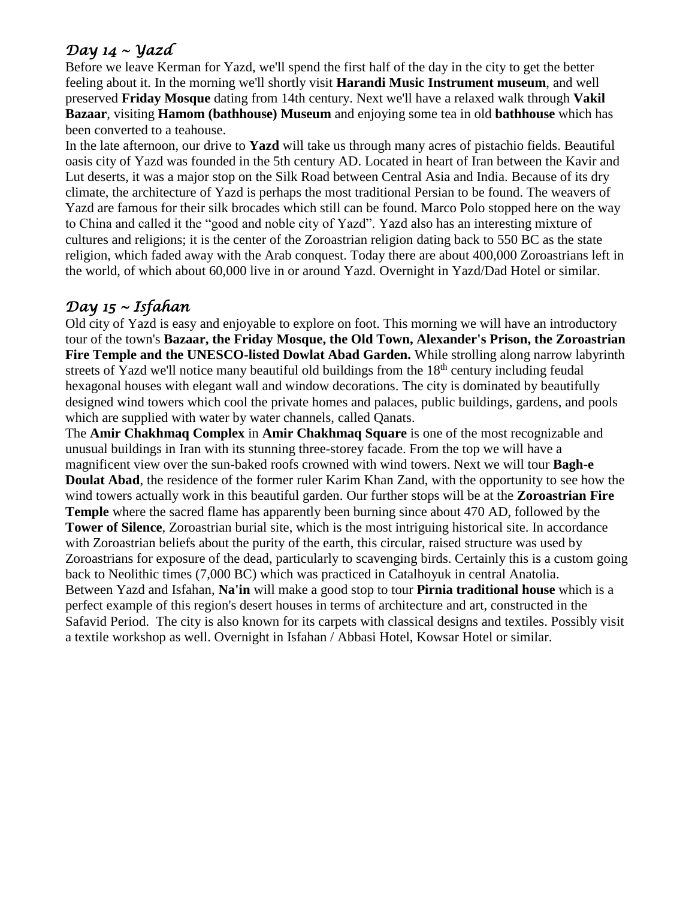## *Day 14 ~ Yazd*

Before we leave Kerman for Yazd, we'll spend the first half of the day in the city to get the better feeling about it. In the morning we'll shortly visit **Harandi Music Instrument museum**, and well preserved **Friday Mosque** dating from 14th century. Next we'll have a relaxed walk through **Vakil Bazaar**, visiting **Hamom (bathhouse) Museum** and enjoying some tea in old **bathhouse** which has been converted to a teahouse.

In the late afternoon, our drive to **Yazd** will take us through many acres of pistachio fields. Beautiful oasis city of Yazd was founded in the 5th century AD. Located in heart of Iran between the Kavir and Lut deserts, it was a major stop on the Silk Road between Central Asia and India. Because of its dry climate, the architecture of Yazd is perhaps the most traditional Persian to be found. The weavers of Yazd are famous for their silk brocades which still can be found. Marco Polo stopped here on the way to China and called it the "good and noble city of Yazd". Yazd also has an interesting mixture of cultures and religions; it is the center of the Zoroastrian religion dating back to 550 BC as the state religion, which faded away with the Arab conquest. Today there are about 400,000 Zoroastrians left in the world, of which about 60,000 live in or around Yazd. Overnight in Yazd/Dad Hotel or similar.

## *Day 15 ~ Isfahan*

Old city of Yazd is easy and enjoyable to explore on foot. This morning we will have an introductory tour of the town's **Bazaar, the Friday Mosque, the Old Town, Alexander's Prison, the Zoroastrian Fire Temple and the UNESCO-listed Dowlat Abad Garden.** While strolling along narrow labyrinth streets of Yazd we'll notice many beautiful old buildings from the  $18<sup>th</sup>$  century including feudal hexagonal houses with elegant wall and window decorations. The city is dominated by beautifully designed wind towers which cool the private homes and palaces, public buildings, gardens, and pools which are supplied with water by water channels, called Qanats.

The **Amir Chakhmaq Complex** in **Amir Chakhmaq Square** is one of the most recognizable and unusual buildings in Iran with its stunning three-storey facade. From the top we will have a magnificent view over the sun-baked roofs crowned with wind towers. Next we will tour **Bagh-e Doulat Abad**, the residence of the former ruler Karim Khan Zand, with the opportunity to see how the wind towers actually work in this beautiful garden. Our further stops will be at the **Zoroastrian Fire Temple** where the sacred flame has apparently been burning since about 470 AD, followed by the **Tower of Silence**, Zoroastrian burial site, which is the most intriguing historical site. In accordance with Zoroastrian beliefs about the purity of the earth, this circular, raised structure was used by [Zoroastrians](http://en.wikipedia.org/wiki/Zoroastrianism) for exposure of the dead, particularly to [scavenging](http://en.wikipedia.org/wiki/Scavenger) birds. Certainly this is a custom going back to Neolithic times (7,000 BC) which was practiced in Catalhoyuk in central Anatolia. Between Yazd and Isfahan, **Na'in** will make a good stop to tour **Pirnia traditional house** which is a perfect example of this region's desert houses in terms of architecture and art, constructed in the Safavid Period. The city is also known for its carpets with classical designs and textiles. Possibly visit a textile workshop as well. Overnight in Isfahan / Abbasi Hotel, Kowsar Hotel or similar.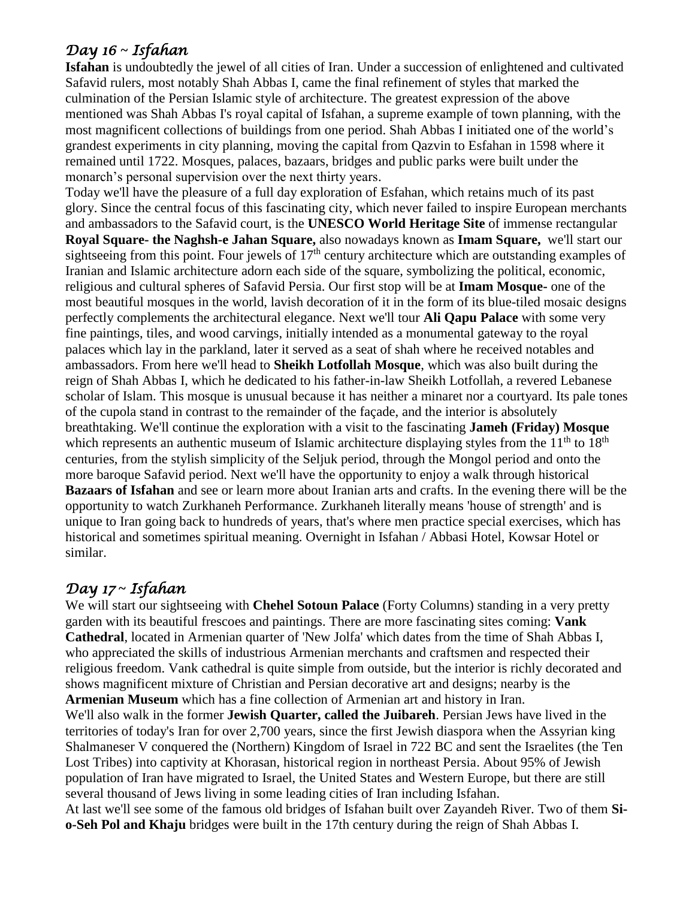# *Day 16* **~** *Isfahan*

**Isfahan** is undoubtedly the jewel of all cities of Iran. Under a succession of enlightened and cultivated Safavid rulers, most notably Shah Abbas I, came the final refinement of styles that marked the culmination of the Persian Islamic style of architecture. The greatest expression of the above mentioned was Shah Abbas I's royal capital of Isfahan, a supreme example of town planning, with the most magnificent collections of buildings from one period. Shah Abbas I initiated one of the world's grandest experiments in city planning, moving the capital from Qazvin to Esfahan in 1598 where it remained until 1722. Mosques, palaces, bazaars, bridges and public parks were built under the monarch's personal supervision over the next thirty years.

Today we'll have the pleasure of a full day exploration of Esfahan, which retains much of its past glory. Since the central focus of this fascinating city, which never failed to inspire European merchants and ambassadors to the Safavid court, is the **[UNESCO](http://en.wikipedia.org/wiki/UNESCO) [World Heritage Site](http://en.wikipedia.org/wiki/World_Heritage_Site)** of immense rectangular **Royal Square- the [Naghsh-e Jahan Square,](http://en.wikipedia.org/wiki/Naghsh-e_Jahan_Square)** also nowadays known as **Imam Square,** we'll start our sightseeing from this point. Four jewels of  $17<sup>th</sup>$  century architecture which are outstanding examples of Iranian and Islamic architecture adorn each side of the square, symbolizing the political, economic, religious and cultural spheres of Safavid Persia. Our first stop will be at **Imam Mosque-** one of the most beautiful mosques in the world, lavish decoration of it in the form of its blue-tiled mosaic designs perfectly complements the architectural elegance. Next we'll tour **Ali Qapu Palace** with some very fine paintings, tiles, and wood carvings, initially intended as a monumental gateway to the royal palaces which lay in the parkland, later it served as a seat of shah where he received notables and ambassadors. From here we'll head to **Sheikh Lotfollah Mosque**, which was also built during the reign of Shah Abbas I, which he dedicated to his father-in-law Sheikh Lotfollah, a revered Lebanese scholar of Islam. This mosque is unusual because it has neither a minaret nor a courtyard. Its pale tones of the cupola stand in contrast to the remainder of the façade, and the interior is absolutely breathtaking. We'll continue the exploration with a visit to the fascinating **Jameh (Friday) Mosque** which represents an authentic museum of Islamic architecture displaying styles from the  $11<sup>th</sup>$  to  $18<sup>th</sup>$ centuries, from the stylish simplicity of the Seljuk period, through the Mongol period and onto the more baroque Safavid period. Next we'll have the opportunity to enjoy a walk through historical **Bazaars of Isfahan** and see or learn more about Iranian arts and crafts. In the evening there will be the opportunity to watch Zurkhaneh Performance. Zurkhaneh literally means 'house of strength' and is unique to Iran going back to hundreds of years, that's where men practice special exercises, which has historical and sometimes spiritual meaning. Overnight in Isfahan / Abbasi Hotel, Kowsar Hotel or similar.

# *Day 17* **~** *Isfahan*

We will start our sightseeing with **Chehel [Sotoun Palace](http://www.itto.org/attraction/attraction.asp?status=showattraction&attractid=Ch18&prv=esf)** (Forty Columns) standing in a very pretty garden with its beautiful frescoes and paintings. There are more fascinating sites coming: **Vank Cathedral**, located in Armenian quarter of 'New Jolfa' which dates from the time of Shah Abbas I, who appreciated the skills of industrious Armenian merchants and craftsmen and respected their religious freedom. Vank cathedral is quite simple from outside, but the interior is richly decorated and shows magnificent mixture of Christian and Persian decorative art and designs; nearby is the **Armenian Museum** which has a fine collection of Armenian art and history in Iran.

We'll also walk in the former **Jewish Quarter, called the Juibareh**. [Persian Jews](https://en.wikipedia.org/wiki/Persian_Jews) have lived in the territories of today's Iran for over 2,700 years, since the first [Jewish diaspora](https://en.wikipedia.org/wiki/Jewish_diaspora) when the Assyrian king [Shalmaneser V](https://en.wikipedia.org/wiki/Shalmaneser_V) conquered the (Northern) Kingdom of Israel in 722 BC and sent the [Israelites](https://en.wikipedia.org/wiki/Israelites) (the [Ten](https://en.wikipedia.org/wiki/Ten_Lost_Tribes)  [Lost Tribes\)](https://en.wikipedia.org/wiki/Ten_Lost_Tribes) into captivity at [Khorasan,](https://en.wikipedia.org/wiki/Greater_Khorasan) historical region in northeast Persia. About 95% of Jewish population of Iran have migrated to Israel, the [United States](https://en.wikipedia.org/wiki/United_States) and [Western Europe,](https://en.wikipedia.org/wiki/Western_Europe) but there are still several thousand of Jews living in some leading cities of Iran including Isfahan.

At last we'll see some of the famous old bridges of Isfahan built over Zayandeh River. Two of them **Sio-Seh Pol and Khaju** bridges were built in the 17th century during the reign of Shah Abbas I.